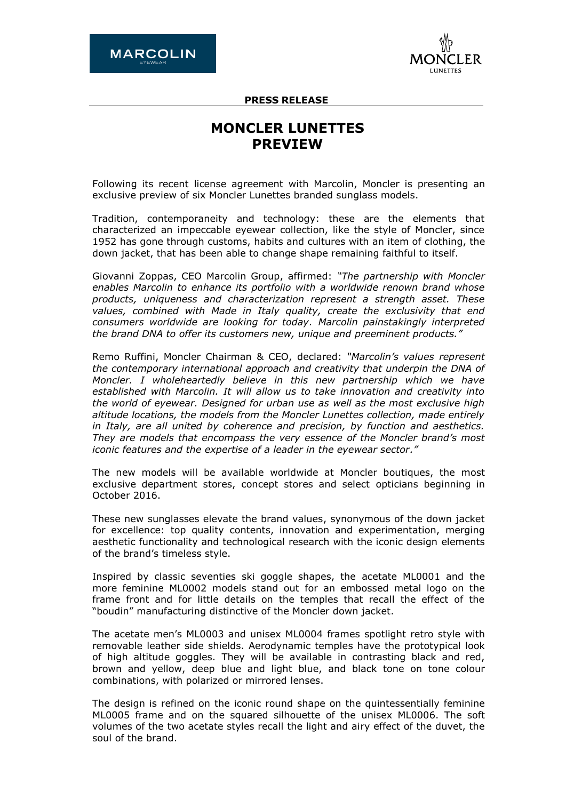

**PRESS RELEASE**

# **MONCLER LUNETTES PREVIEW**

Following its recent license agreement with Marcolin, Moncler is presenting an exclusive preview of six Moncler Lunettes branded sunglass models.

Tradition, contemporaneity and technology: these are the elements that characterized an impeccable eyewear collection, like the style of Moncler, since 1952 has gone through customs, habits and cultures with an item of clothing, the down jacket, that has been able to change shape remaining faithful to itself.

Giovanni Zoppas, CEO Marcolin Group, affirmed: *"The partnership with Moncler enables Marcolin to enhance its portfolio with a worldwide renown brand whose products, uniqueness and characterization represent a strength asset. These values, combined with Made in Italy quality, create the exclusivity that end consumers worldwide are looking for today. Marcolin painstakingly interpreted the brand DNA to offer its customers new, unique and [preeminent](http://it.bab.la/dizionario/inglese-italiano/pre-eminent) products."*

Remo Ruffini, Moncler Chairman & CEO, declared: *"Marcolin's values represent the contemporary international approach and creativity that underpin the DNA of Moncler. I wholeheartedly believe in this new partnership which we have established with Marcolin. It will allow us to take innovation and creativity into the world of eyewear. Designed for urban use as well as the most exclusive high altitude locations, the models from the Moncler Lunettes collection, made entirely in Italy, are all united by coherence and precision, by function and aesthetics. They are models that encompass the very essence of the Moncler brand's most iconic features and the expertise of a leader in the eyewear sector."*

The new models will be available worldwide at Moncler boutiques, the most exclusive department stores, concept stores and select opticians beginning in October 2016.

These new sunglasses elevate the brand values, synonymous of the down jacket for excellence: top quality contents, innovation and experimentation, merging aesthetic functionality and technological research with the iconic design elements of the brand's timeless style.

Inspired by classic seventies ski goggle shapes, the acetate ML0001 and the more feminine ML0002 models stand out for an embossed metal logo on the frame front and for little details on the temples that recall the effect of the "boudin" manufacturing distinctive of the Moncler down jacket.

The acetate men's ML0003 and unisex ML0004 frames spotlight retro style with removable leather side shields. Aerodynamic temples have the prototypical look of high altitude goggles. They will be available in contrasting black and red, brown and yellow, deep blue and light blue, and black tone on tone colour combinations, with polarized or mirrored lenses.

The design is refined on the iconic round shape on the quintessentially feminine ML0005 frame and on the squared silhouette of the unisex ML0006. The soft volumes of the two acetate styles recall the light and airy effect of the duvet, the soul of the brand.